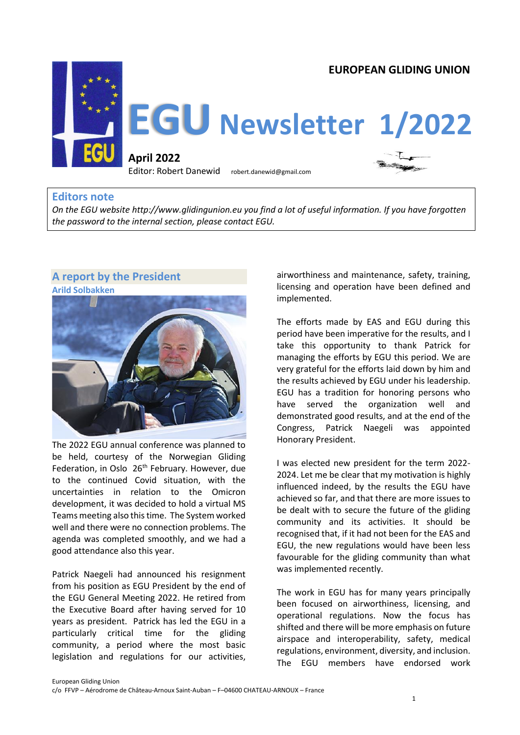

## **Editors note**

*On the EGU website http://www.glidingunion.eu you find a lot of useful information. If you have forgotten the password to the internal section, please contact EGU.* 

# **A report by the President**



The 2022 EGU annual conference was planned to be held, courtesy of the Norwegian Gliding Federation, in Oslo 26<sup>th</sup> February. However, due to the continued Covid situation, with the uncertainties in relation to the Omicron development, it was decided to hold a virtual MS Teams meeting also this time. The System worked well and there were no connection problems. The agenda was completed smoothly, and we had a good attendance also this year.

Patrick Naegeli had announced his resignment from his position as EGU President by the end of the EGU General Meeting 2022. He retired from the Executive Board after having served for 10 years as president. Patrick has led the EGU in a particularly critical time for the gliding community, a period where the most basic legislation and regulations for our activities,

airworthiness and maintenance, safety, training, licensing and operation have been defined and implemented.

The efforts made by EAS and EGU during this period have been imperative for the results, and I take this opportunity to thank Patrick for managing the efforts by EGU this period. We are very grateful for the efforts laid down by him and the results achieved by EGU under his leadership. EGU has a tradition for honoring persons who have served the organization well and demonstrated good results, and at the end of the Congress, Patrick Naegeli was appointed Honorary President.

I was elected new president for the term 2022- 2024. Let me be clear that my motivation is highly influenced indeed, by the results the EGU have achieved so far, and that there are more issues to be dealt with to secure the future of the gliding community and its activities. It should be recognised that, if it had not been for the EAS and EGU, the new regulations would have been less favourable for the gliding community than what was implemented recently.

The work in EGU has for many years principally been focused on airworthiness, licensing, and operational regulations. Now the focus has shifted and there will be more emphasis on future airspace and interoperability, safety, medical regulations, environment, diversity, and inclusion. The EGU members have endorsed work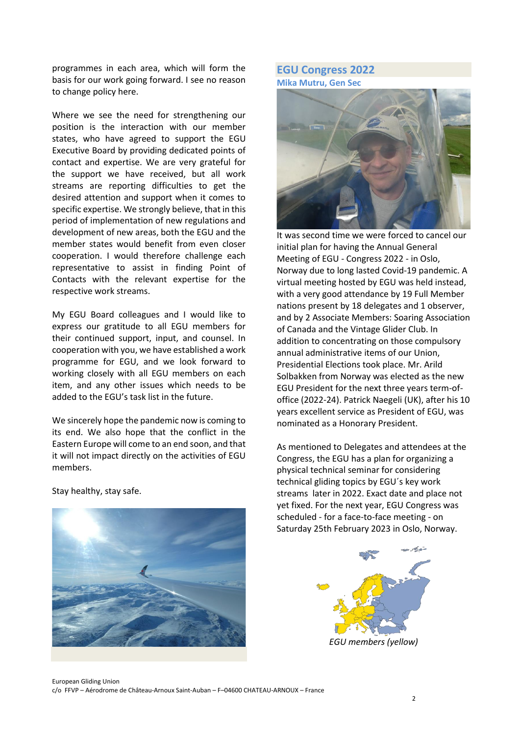programmes in each area, which will form the basis for our work going forward. I see no reason to change policy here.

Where we see the need for strengthening our position is the interaction with our member states, who have agreed to support the EGU Executive Board by providing dedicated points of contact and expertise. We are very grateful for the support we have received, but all work streams are reporting difficulties to get the desired attention and support when it comes to specific expertise. We strongly believe, that in this period of implementation of new regulations and development of new areas, both the EGU and the member states would benefit from even closer cooperation. I would therefore challenge each representative to assist in finding Point of Contacts with the relevant expertise for the respective work streams.

My EGU Board colleagues and I would like to express our gratitude to all EGU members for their continued support, input, and counsel. In cooperation with you, we have established a work programme for EGU, and we look forward to working closely with all EGU members on each item, and any other issues which needs to be added to the EGU's task list in the future.

We sincerely hope the pandemic now is coming to its end. We also hope that the conflict in the Eastern Europe will come to an end soon, and that it will not impact directly on the activities of EGU members.

Stay healthy, stay safe.

### **EGU Congress 2022 Mika Mutru, Gen Sec**



It was second time we were forced to cancel our initial plan for having the Annual General Meeting of EGU - Congress 2022 - in Oslo, Norway due to long lasted Covid-19 pandemic. A virtual meeting hosted by EGU was held instead, with a very good attendance by 19 Full Member nations present by 18 delegates and 1 observer, and by 2 Associate Members: Soaring Association of Canada and the Vintage Glider Club. In addition to concentrating on those compulsory annual administrative items of our Union, Presidential Elections took place. Mr. Arild Solbakken from Norway was elected as the new EGU President for the next three years term-ofoffice (2022-24). Patrick Naegeli (UK), after his 10 years excellent service as President of EGU, was nominated as a Honorary President.

As mentioned to Delegates and attendees at the Congress, the EGU has a plan for organizing a physical technical seminar for considering technical gliding topics by EGU´s key work streams later in 2022. Exact date and place not yet fixed. For the next year, EGU Congress was scheduled - for a face-to-face meeting - on Saturday 25th February 2023 in Oslo, Norway.

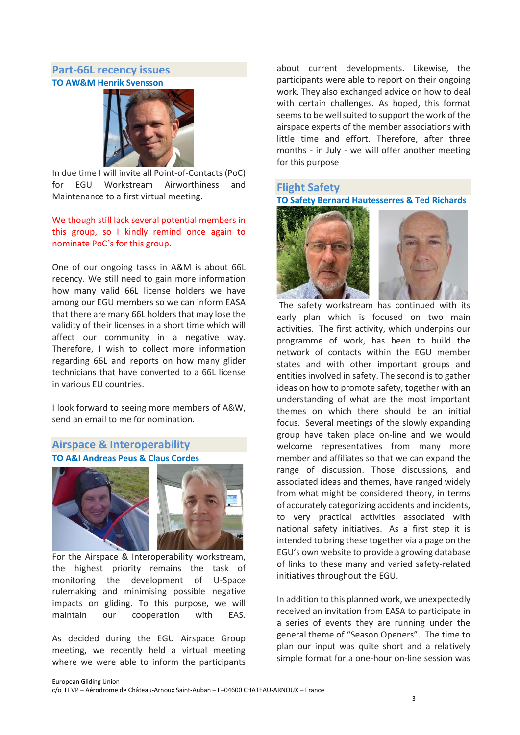## **Part-66L recency issues TO AW&M Henrik Svensson**



In due time I will invite all Point-of-Contacts (PoC) for EGU Workstream Airworthiness and Maintenance to a first virtual meeting.

#### We though still lack several potential members in this group, so I kindly remind once again to nominate PoC´s for this group.

One of our ongoing tasks in A&M is about 66L recency. We still need to gain more information how many valid 66L license holders we have among our EGU members so we can inform EASA that there are many 66L holders that may lose the validity of their licenses in a short time which will affect our community in a negative way. Therefore, I wish to collect more information regarding 66L and reports on how many glider technicians that have converted to a 66L license in various EU countries.

I look forward to seeing more members of A&W, send an email to me for nomination.

## **Airspace & Interoperability TO A&I Andreas Peus & Claus Cordes**





For the Airspace & Interoperability workstream, the highest priority remains the task of monitoring the development of U-Space rulemaking and minimising possible negative impacts on gliding. To this purpose, we will maintain our cooperation with EAS.

As decided during the EGU Airspace Group meeting, we recently held a virtual meeting where we were able to inform the participants

about current developments. Likewise, the participants were able to report on their ongoing work. They also exchanged advice on how to deal with certain challenges. As hoped, this format seems to be well suited to support the work of the airspace experts of the member associations with little time and effort. Therefore, after three months - in July - we will offer another meeting for this purpose

## **Flight Safety**

**TO Safety Bernard Hautesserres & Ted Richards**



The safety workstream has continued with its early plan which is focused on two main activities. The first activity, which underpins our programme of work, has been to build the network of contacts within the EGU member states and with other important groups and entities involved in safety. The second is to gather ideas on how to promote safety, together with an understanding of what are the most important themes on which there should be an initial focus. Several meetings of the slowly expanding group have taken place on-line and we would welcome representatives from many more member and affiliates so that we can expand the range of discussion. Those discussions, and associated ideas and themes, have ranged widely from what might be considered theory, in terms of accurately categorizing accidents and incidents, to very practical activities associated with national safety initiatives. As a first step it is intended to bring these together via a page on the EGU's own website to provide a growing database of links to these many and varied safety-related initiatives throughout the EGU.

In addition to this planned work, we unexpectedly received an invitation from EASA to participate in a series of events they are running under the general theme of "Season Openers". The time to plan our input was quite short and a relatively simple format for a one-hour on-line session was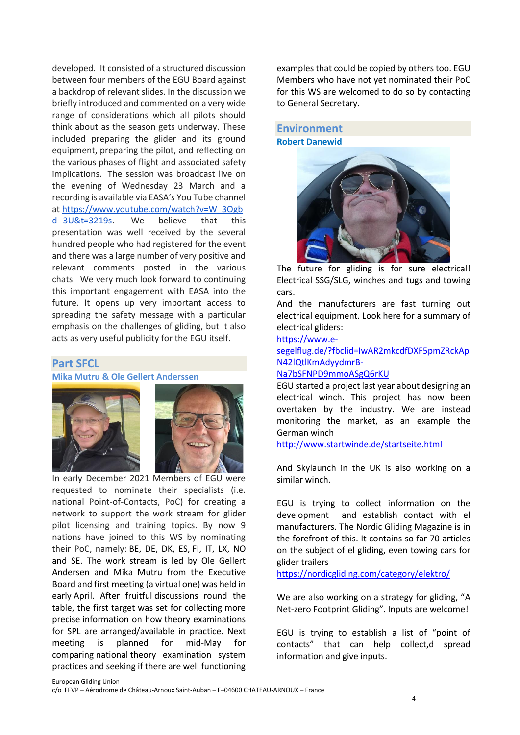developed. It consisted of a structured discussion between four members of the EGU Board against a backdrop of relevant slides. In the discussion we briefly introduced and commented on a very wide range of considerations which all pilots should think about as the season gets underway. These included preparing the glider and its ground equipment, preparing the pilot, and reflecting on the various phases of flight and associated safety implications. The session was broadcast live on the evening of Wednesday 23 March and a recording is available via EASA's You Tube channel at [https://www.youtube.com/watch?v=W\\_3Ogb](https://www.youtube.com/watch?v=W_3Ogbd--3U&t=3219s) [d--3U&t=3219s.](https://www.youtube.com/watch?v=W_3Ogbd--3U&t=3219s) We believe that this presentation was well received by the several hundred people who had registered for the event and there was a large number of very positive and relevant comments posted in the various chats. We very much look forward to continuing this important engagement with EASA into the future. It opens up very important access to spreading the safety message with a particular emphasis on the challenges of gliding, but it also acts as very useful publicity for the EGU itself.

### **Part SFCL**

**Mika Mutru & Ole Gellert Anderssen**





In early December 2021 Members of EGU were requested to nominate their specialists (i.e. national Point-of-Contacts, PoC) for creating a network to support the work stream for glider pilot licensing and training topics. By now 9 nations have joined to this WS by nominating their PoC, namely: BE, DE, DK, ES, FI, IT, LX, NO and SE. The work stream is led by Ole Gellert Andersen and Mika Mutru from the Executive Board and first meeting (a virtual one) was held in early April. After fruitful discussions round the table, the first target was set for collecting more precise information on how theory examinations for SPL are arranged/available in practice. Next meeting is planned for mid-May for comparing national theory examination system practices and seeking if there are well functioning

examples that could be copied by others too. EGU Members who have not yet nominated their PoC for this WS are welcomed to do so by contacting to General Secretary.

#### **Environment Robert Danewid**



The future for gliding is for sure electrical! Electrical SSG/SLG, winches and tugs and towing cars.

And the manufacturers are fast turning out electrical equipment. Look here for a summary of electrical gliders:

[https://www.e-](https://www.e-segelflug.de/?fbclid=IwAR2mkcdfDXF5pmZRckApN42lQtlKmAdyydmrB-Na7bSFNPD9mmoASgQ6rKU)

[segelflug.de/?fbclid=IwAR2mkcdfDXF5pmZRckAp](https://www.e-segelflug.de/?fbclid=IwAR2mkcdfDXF5pmZRckApN42lQtlKmAdyydmrB-Na7bSFNPD9mmoASgQ6rKU) [N42lQtlKmAdyydmrB-](https://www.e-segelflug.de/?fbclid=IwAR2mkcdfDXF5pmZRckApN42lQtlKmAdyydmrB-Na7bSFNPD9mmoASgQ6rKU)

#### [Na7bSFNPD9mmoASgQ6rKU](https://www.e-segelflug.de/?fbclid=IwAR2mkcdfDXF5pmZRckApN42lQtlKmAdyydmrB-Na7bSFNPD9mmoASgQ6rKU)

EGU started a project last year about designing an electrical winch. This project has now been overtaken by the industry. We are instead monitoring the market, as an example the German winch

<http://www.startwinde.de/startseite.html>

And Skylaunch in the UK is also working on a similar winch.

EGU is trying to collect information on the development and establish contact with el manufacturers. The Nordic Gliding Magazine is in the forefront of this. It contains so far 70 articles on the subject of el gliding, even towing cars for glider trailers

<https://nordicgliding.com/category/elektro/>

We are also working on a strategy for gliding, "A Net-zero Footprint Gliding". Inputs are welcome!

EGU is trying to establish a list of "point of contacts" that can help collect,d spread information and give inputs.